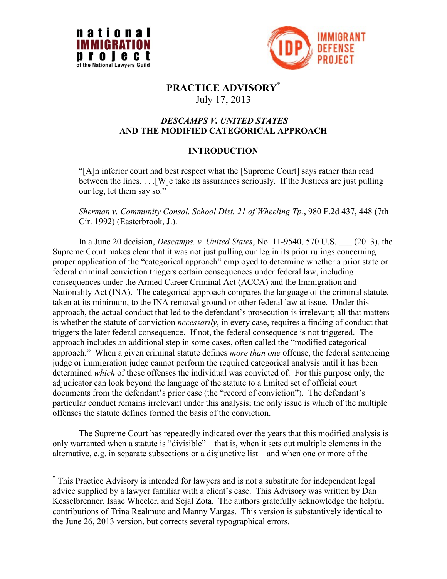

 $\overline{a}$ 



# **PRACTICE ADVISORY**\* July 17, 2013

## *DESCAMPS V. UNITED STATES*  **AND THE MODIFIED CATEGORICAL APPROACH**

## **INTRODUCTION**

―[A]n inferior court had best respect what the [Supreme Court] says rather than read between the lines. . . .[W]e take its assurances seriously. If the Justices are just pulling our leg, let them say so."

*Sherman v. Community Consol. School Dist. 21 of Wheeling Tp.*, 980 F.2d 437, 448 (7th Cir. 1992) (Easterbrook, J.).

In a June 20 decision, *Descamps. v. United States*, No. 11-9540, 570 U.S. \_\_\_ (2013), the Supreme Court makes clear that it was not just pulling our leg in its prior rulings concerning proper application of the "categorical approach" employed to determine whether a prior state or federal criminal conviction triggers certain consequences under federal law, including consequences under the Armed Career Criminal Act (ACCA) and the Immigration and Nationality Act (INA). The categorical approach compares the language of the criminal statute, taken at its minimum, to the INA removal ground or other federal law at issue. Under this approach, the actual conduct that led to the defendant's prosecution is irrelevant; all that matters is whether the statute of conviction *necessarily*, in every case, requires a finding of conduct that triggers the later federal consequence. If not, the federal consequence is not triggered. The approach includes an additional step in some cases, often called the "modified categorical approach.‖ When a given criminal statute defines *more than one* offense, the federal sentencing judge or immigration judge cannot perform the required categorical analysis until it has been determined *which* of these offenses the individual was convicted of. For this purpose only, the adjudicator can look beyond the language of the statute to a limited set of official court documents from the defendant's prior case (the "record of conviction"). The defendant's particular conduct remains irrelevant under this analysis; the only issue is which of the multiple offenses the statute defines formed the basis of the conviction.

The Supreme Court has repeatedly indicated over the years that this modified analysis is only warranted when a statute is "divisible"—that is, when it sets out multiple elements in the alternative, e.g. in separate subsections or a disjunctive list—and when one or more of the

<sup>\*</sup> This Practice Advisory is intended for lawyers and is not a substitute for independent legal advice supplied by a lawyer familiar with a client's case. This Advisory was written by Dan Kesselbrenner, Isaac Wheeler, and Sejal Zota. The authors gratefully acknowledge the helpful contributions of Trina Realmuto and Manny Vargas. This version is substantively identical to the June 26, 2013 version, but corrects several typographical errors.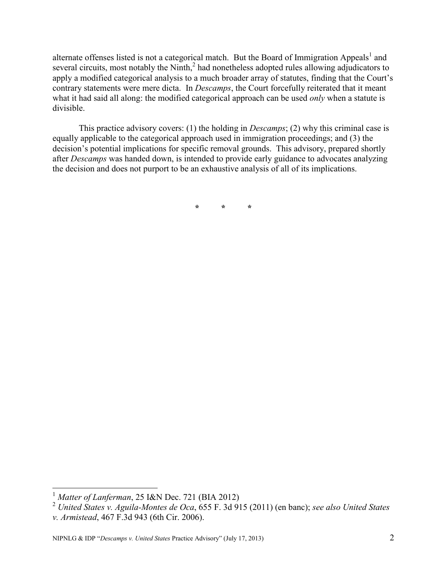alternate offenses listed is not a categorical match. But the Board of Immigration Appeals<sup>1</sup> and several circuits, most notably the Ninth, $<sup>2</sup>$  had nonetheless adopted rules allowing adjudicators to</sup> apply a modified categorical analysis to a much broader array of statutes, finding that the Court's contrary statements were mere dicta. In *Descamps*, the Court forcefully reiterated that it meant what it had said all along: the modified categorical approach can be used *only* when a statute is divisible.

This practice advisory covers: (1) the holding in *Descamps*; (2) why this criminal case is equally applicable to the categorical approach used in immigration proceedings; and (3) the decision's potential implications for specific removal grounds. This advisory, prepared shortly after *Descamps* was handed down, is intended to provide early guidance to advocates analyzing the decision and does not purport to be an exhaustive analysis of all of its implications.

**\* \* \***

<sup>1</sup> *Matter of Lanferman*, 25 I&N Dec. 721 (BIA 2012)

<sup>2</sup> *United States v. Aguila-Montes de Oca*, 655 F. 3d 915 (2011) (en banc); *see also United States v. Armistead*, 467 F.3d 943 (6th Cir. 2006).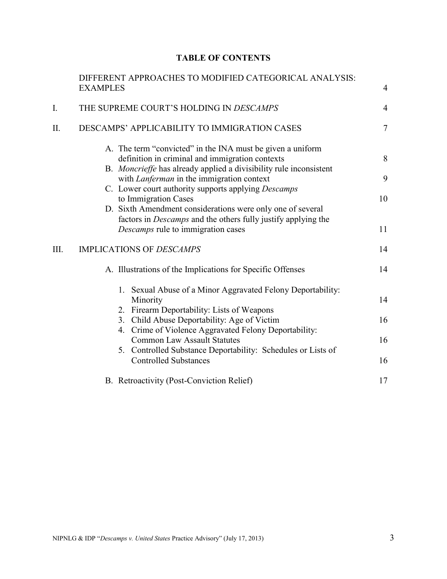## **TABLE OF CONTENTS**

|    | <b>EXAMPLES</b>                                                                                            | DIFFERENT APPROACHES TO MODIFIED CATEGORICAL ANALYSIS:                                                                                                                                                                                                                                                                                                                                      | $\overline{4}$ |
|----|------------------------------------------------------------------------------------------------------------|---------------------------------------------------------------------------------------------------------------------------------------------------------------------------------------------------------------------------------------------------------------------------------------------------------------------------------------------------------------------------------------------|----------------|
| I. | THE SUPREME COURT'S HOLDING IN DESCAMPS                                                                    |                                                                                                                                                                                                                                                                                                                                                                                             | $\overline{4}$ |
| Π. | DESCAMPS' APPLICABILITY TO IMMIGRATION CASES                                                               |                                                                                                                                                                                                                                                                                                                                                                                             | $\overline{7}$ |
|    |                                                                                                            | A. The term "convicted" in the INA must be given a uniform<br>definition in criminal and immigration contexts<br>B. Moncrieffe has already applied a divisibility rule inconsistent<br>with <i>Lanferman</i> in the immigration context<br>C. Lower court authority supports applying <i>Descamps</i><br>to Immigration Cases<br>D. Sixth Amendment considerations were only one of several | 8<br>9<br>10   |
|    | factors in <i>Descamps</i> and the others fully justify applying the<br>Descamps rule to immigration cases |                                                                                                                                                                                                                                                                                                                                                                                             | 11             |
| Ш. | <b>IMPLICATIONS OF DESCAMPS</b>                                                                            |                                                                                                                                                                                                                                                                                                                                                                                             | 14             |
|    | A. Illustrations of the Implications for Specific Offenses                                                 |                                                                                                                                                                                                                                                                                                                                                                                             | 14             |
|    |                                                                                                            | 1. Sexual Abuse of a Minor Aggravated Felony Deportability:<br>Minority<br>2. Firearm Deportability: Lists of Weapons                                                                                                                                                                                                                                                                       | 14             |
|    |                                                                                                            | 3. Child Abuse Deportability: Age of Victim                                                                                                                                                                                                                                                                                                                                                 | 16             |
|    |                                                                                                            | 4. Crime of Violence Aggravated Felony Deportability:<br><b>Common Law Assault Statutes</b>                                                                                                                                                                                                                                                                                                 | 16             |
|    |                                                                                                            | 5. Controlled Substance Deportability: Schedules or Lists of<br><b>Controlled Substances</b>                                                                                                                                                                                                                                                                                                | 16             |
|    |                                                                                                            | B. Retroactivity (Post-Conviction Relief)                                                                                                                                                                                                                                                                                                                                                   | 17             |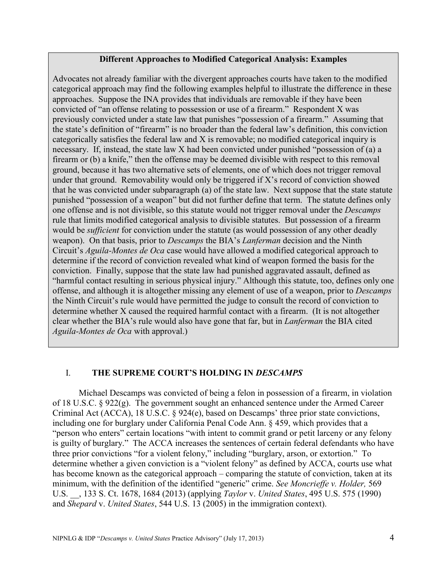#### **Different Approaches to Modified Categorical Analysis: Examples**

Advocates not already familiar with the divergent approaches courts have taken to the modified categorical approach may find the following examples helpful to illustrate the difference in these approaches. Suppose the INA provides that individuals are removable if they have been convicted of "an offense relating to possession or use of a firearm." Respondent X was previously convicted under a state law that punishes "possession of a firearm." Assuming that the state's definition of "firearm" is no broader than the federal law's definition, this conviction categorically satisfies the federal law and X is removable; no modified categorical inquiry is necessary. If, instead, the state law  $X$  had been convicted under punished "possession of (a) a firearm or  $(b)$  a knife," then the offense may be deemed divisible with respect to this removal ground, because it has two alternative sets of elements, one of which does not trigger removal under that ground. Removability would only be triggered if X's record of conviction showed that he was convicted under subparagraph (a) of the state law. Next suppose that the state statute punished "possession of a weapon" but did not further define that term. The statute defines only one offense and is not divisible, so this statute would not trigger removal under the *Descamps* rule that limits modified categorical analysis to divisible statutes. But possession of a firearm would be *sufficient* for conviction under the statute (as would possession of any other deadly weapon). On that basis, prior to *Descamps* the BIA's *Lanferman* decision and the Ninth Circuit's *Aguila-Montes de Oca* case would have allowed a modified categorical approach to determine if the record of conviction revealed what kind of weapon formed the basis for the conviction. Finally, suppose that the state law had punished aggravated assault, defined as ―harmful contact resulting in serious physical injury.‖ Although this statute, too, defines only one offense, and although it is altogether missing any element of use of a weapon, prior to *Descamps*  the Ninth Circuit's rule would have permitted the judge to consult the record of conviction to determine whether X caused the required harmful contact with a firearm. (It is not altogether clear whether the BIA's rule would also have gone that far, but in *Lanferman* the BIA cited *Aguila-Montes de Oca* with approval.)

#### I. **THE SUPREME COURT'S HOLDING IN** *DESCAMPS*

Michael Descamps was convicted of being a felon in possession of a firearm, in violation of 18 U.S.C. § 922(g). The government sought an enhanced sentence under the Armed Career Criminal Act (ACCA), 18 U.S.C. § 924(e), based on Descamps' three prior state convictions, including one for burglary under California Penal Code Ann. § 459, which provides that a "person who enters" certain locations "with intent to commit grand or petit larceny or any felony is guilty of burglary." The ACCA increases the sentences of certain federal defendants who have three prior convictions "for a violent felony," including "burglary, arson, or extortion." To determine whether a given conviction is a "violent felony" as defined by ACCA, courts use what has become known as the categorical approach – comparing the statute of conviction, taken at its minimum, with the definition of the identified "generic" crime. *See Moncrieffe v. Holder*, 569 U.S. \_\_, 133 S. Ct. 1678, 1684 (2013) (applying *Taylor* v. *United States*, 495 U.S. 575 (1990) and *Shepard* v. *United States*, 544 U.S. 13 (2005) in the immigration context).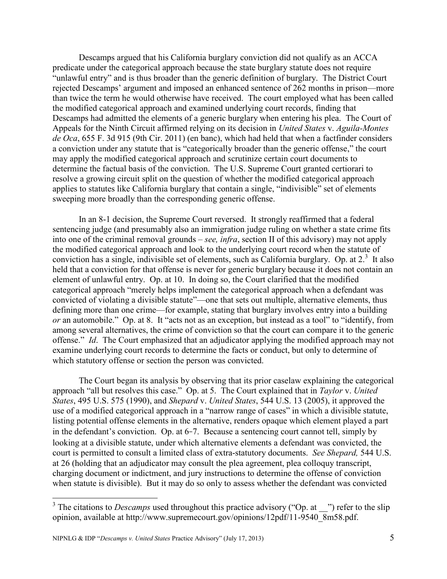Descamps argued that his California burglary conviction did not qualify as an ACCA predicate under the categorical approach because the state burglary statute does not require "unlawful entry" and is thus broader than the generic definition of burglary. The District Court rejected Descamps' argument and imposed an enhanced sentence of 262 months in prison—more than twice the term he would otherwise have received. The court employed what has been called the modified categorical approach and examined underlying court records, finding that Descamps had admitted the elements of a generic burglary when entering his plea. The Court of Appeals for the Ninth Circuit affirmed relying on its decision in *United States* v. *Aguila-Montes de Oca*, 655 F. 3d 915 (9th Cir. 2011) (en banc), which had held that when a factfinder considers a conviction under any statute that is "categorically broader than the generic offense," the court may apply the modified categorical approach and scrutinize certain court documents to determine the factual basis of the conviction. The U.S. Supreme Court granted certiorari to resolve a growing circuit split on the question of whether the modified categorical approach applies to statutes like California burglary that contain a single, "indivisible" set of elements sweeping more broadly than the corresponding generic offense.

In an 8-1 decision, the Supreme Court reversed. It strongly reaffirmed that a federal sentencing judge (and presumably also an immigration judge ruling on whether a state crime fits into one of the criminal removal grounds – *see, infra*, section II of this advisory) may not apply the modified categorical approach and look to the underlying court record when the statute of conviction has a single, indivisible set of elements, such as California burglary. Op. at  $2<sup>3</sup>$  It also held that a conviction for that offense is never for generic burglary because it does not contain an element of unlawful entry. Op. at 10. In doing so, the Court clarified that the modified categorical approach "merely helps implement the categorical approach when a defendant was convicted of violating a divisible statute"—one that sets out multiple, alternative elements, thus defining more than one crime—for example, stating that burglary involves entry into a building *or* an automobile." Op. at 8. It "acts not as an exception, but instead as a tool" to "identify, from among several alternatives, the crime of conviction so that the court can compare it to the generic offense." *Id.* The Court emphasized that an adjudicator applying the modified approach may not examine underlying court records to determine the facts or conduct, but only to determine of which statutory offense or section the person was convicted.

The Court began its analysis by observing that its prior caselaw explaining the categorical approach "all but resolves this case." Op. at 5. The Court explained that in *Taylor v. United States*, 495 U.S. 575 (1990), and *Shepard* v. *United States*, 544 U.S. 13 (2005), it approved the use of a modified categorical approach in a "narrow range of cases" in which a divisible statute, listing potential offense elements in the alternative, renders opaque which element played a part in the defendant's conviction. Op. at  $6-7$ . Because a sentencing court cannot tell, simply by looking at a divisible statute, under which alternative elements a defendant was convicted, the court is permitted to consult a limited class of extra-statutory documents. *See Shepard,* 544 U.S. at 26 (holding that an adjudicator may consult the plea agreement, plea colloquy transcript, charging document or indictment, and jury instructions to determine the offense of conviction when statute is divisible). But it may do so only to assess whether the defendant was convicted

<sup>&</sup>lt;sup>3</sup> The citations to *Descamps* used throughout this practice advisory ("Op. at  $\Box$ ") refer to the slip opinion, available at http://www.supremecourt.gov/opinions/12pdf/11-9540\_8m58.pdf.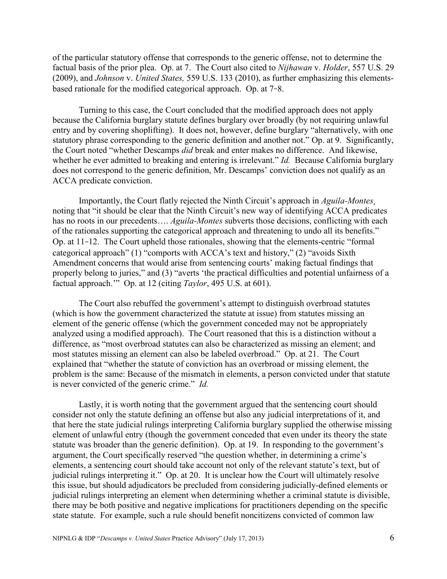of the particular statutory offense that corresponds to the generic offense, not to determine the factual basis of the prior plea. Op. at 7. The Court also cited to *Nijhawan* v. *Holder*, 557 U.S. 29 (2009), and *Johnson* v. *United States,* 559 U.S. 133 (2010), as further emphasizing this elementsbased rationale for the modified categorical approach. Op. at 7-8.

Turning to this case, the Court concluded that the modified approach does not apply because the California burglary statute defines burglary over broadly (by not requiring unlawful entry and by covering shoplifting). It does not, however, define burglary "alternatively, with one statutory phrase corresponding to the generic definition and another not." Op. at 9. Significantly, the Court noted "whether Descamps *did* break and enter makes no difference. And likewise, whether he ever admitted to breaking and entering is irrelevant." *Id.* Because California burglary does not correspond to the generic definition, Mr. Descamps' conviction does not qualify as an ACCA predicate conviction.

Importantly, the Court flatly rejected the Ninth Circuit's approach in *Aguila-Montes¸* noting that "it should be clear that the Ninth Circuit's new way of identifying ACCA predicates has no roots in our precedents…. *Aguila-Montes* subverts those decisions, conflicting with each of the rationales supporting the categorical approach and threatening to undo all its benefits." Op. at  $11-12$ . The Court upheld those rationales, showing that the elements-centric "formal" categorical approach" (1) "comports with ACCA's text and history," (2) "avoids Sixth Amendment concerns that would arise from sentencing courts' making factual findings that properly belong to juries," and (3) "averts 'the practical difficulties and potential unfairness of a factual approach." Op. at 12 (citing *Taylor*, 495 U.S. at 601).

The Court also rebuffed the government's attempt to distinguish overbroad statutes (which is how the government characterized the statute at issue) from statutes missing an element of the generic offense (which the government conceded may not be appropriately analyzed using a modified approach). The Court reasoned that this is a distinction without a difference, as "most overbroad statutes can also be characterized as missing an element; and most statutes missing an element can also be labeled overbroad." Op. at 21. The Court explained that "whether the statute of conviction has an overbroad or missing element, the problem is the same: Because of the mismatch in elements, a person convicted under that statute is never convicted of the generic crime." *Id.* 

Lastly, it is worth noting that the government argued that the sentencing court should consider not only the statute defining an offense but also any judicial interpretations of it, and that here the state judicial rulings interpreting California burglary supplied the otherwise missing element of unlawful entry (though the government conceded that even under its theory the state statute was broader than the generic definition). Op. at 19. In responding to the government's argument, the Court specifically reserved "the question whether, in determining a crime's elements, a sentencing court should take account not only of the relevant statute's text, but of judicial rulings interpreting it." Op. at 20. It is unclear how the Court will ultimately resolve this issue, but should adjudicators be precluded from considering judicially-defined elements or judicial rulings interpreting an element when determining whether a criminal statute is divisible, there may be both positive and negative implications for practitioners depending on the specific state statute. For example, such a rule should benefit noncitizens convicted of common law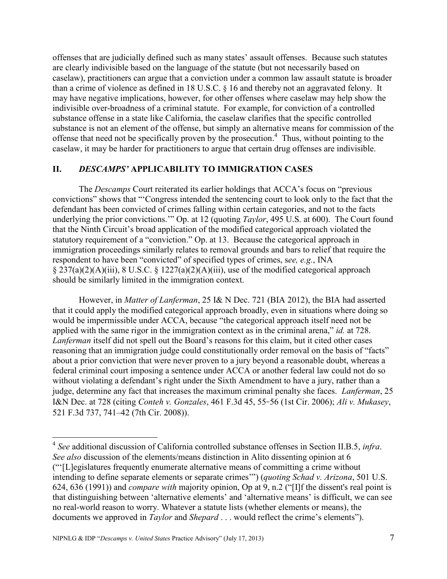offenses that are judicially defined such as many states' assault offenses. Because such statutes are clearly indivisible based on the language of the statute (but not necessarily based on caselaw), practitioners can argue that a conviction under a common law assault statute is broader than a crime of violence as defined in 18 U.S.C. § 16 and thereby not an aggravated felony. It may have negative implications, however, for other offenses where caselaw may help show the indivisible over-broadness of a criminal statute. For example, for conviction of a controlled substance offense in a state like California, the caselaw clarifies that the specific controlled substance is not an element of the offense, but simply an alternative means for commission of the offense that need not be specifically proven by the prosecution. 4 Thus, without pointing to the caselaw, it may be harder for practitioners to argue that certain drug offenses are indivisible.

#### **II.** *DESCAMPS'* **APPLICABILITY TO IMMIGRATION CASES**

The *Descamps* Court reiterated its earlier holdings that ACCA's focus on "previous" convictions" shows that "Congress intended the sentencing court to look only to the fact that the defendant has been convicted of crimes falling within certain categories, and not to the facts underlying the prior convictions." Op. at 12 (quoting *Taylor*, 495 U.S. at 600). The Court found that the Ninth Circuit's broad application of the modified categorical approach violated the statutory requirement of a "conviction." Op. at 13. Because the categorical approach in immigration proceedings similarly relates to removal grounds and bars to relief that require the respondent to have been "convicted" of specified types of crimes, see, e.g., INA § 237(a)(2)(A)(iii), 8 U.S.C. § 1227(a)(2)(A)(iii), use of the modified categorical approach should be similarly limited in the immigration context.

However, in *Matter of Lanferman*, 25 I& N Dec. 721 (BIA 2012), the BIA had asserted that it could apply the modified categorical approach broadly, even in situations where doing so would be impermissible under ACCA, because "the categorical approach itself need not be applied with the same rigor in the immigration context as in the criminal arena," *id.* at 728. *Lanferman* itself did not spell out the Board's reasons for this claim, but it cited other cases reasoning that an immigration judge could constitutionally order removal on the basis of "facts" about a prior conviction that were never proven to a jury beyond a reasonable doubt, whereas a federal criminal court imposing a sentence under ACCA or another federal law could not do so without violating a defendant's right under the Sixth Amendment to have a jury, rather than a judge, determine any fact that increases the maximum criminal penalty she faces. *Lanferman*, 25 I&N Dec. at 728 (citing *Conteh v. Gonzales*, 461 F.3d 45, 55 56 (1st Cir. 2006); *Ali v. Mukasey*, 521 F.3d 737, 741–42 (7th Cir. 2008)).

<sup>4</sup> *See* additional discussion of California controlled substance offenses in Section II.B.5, *infra*. *See also* discussion of the elements/means distinction in Alito dissenting opinion at 6 (―‗[L]egislatures frequently enumerate alternative means of committing a crime without intending to define separate elements or separate crimes'") (*quoting Schad v. Arizona*, 501 U.S. 624, 636 (1991)) and *compare with* majority opinion, Op at 9, n.2 ("[I]f the dissent's real point is that distinguishing between 'alternative elements' and 'alternative means' is difficult, we can see no real-world reason to worry. Whatever a statute lists (whether elements or means), the documents we approved in *Taylor* and *Shepard* . . . would reflect the crime's elements").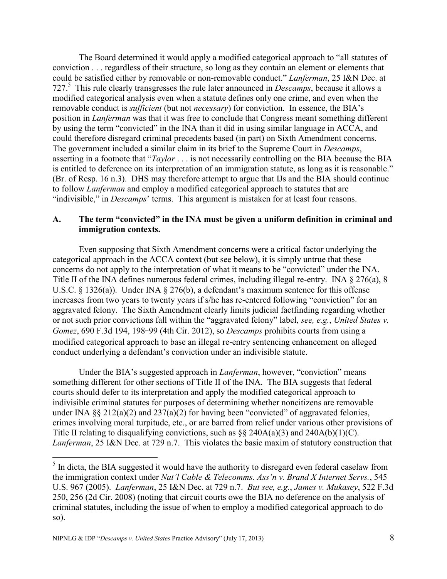The Board determined it would apply a modified categorical approach to "all statutes of conviction . . . regardless of their structure, so long as they contain an element or elements that could be satisfied either by removable or non-removable conduct." *Lanferman*, 25 I&N Dec. at 727.<sup>5</sup> This rule clearly transgresses the rule later announced in *Descamps*, because it allows a modified categorical analysis even when a statute defines only one crime, and even when the removable conduct is *sufficient* (but not *necessary*) for conviction. In essence, the BIA's position in *Lanferman* was that it was free to conclude that Congress meant something different by using the term "convicted" in the INA than it did in using similar language in ACCA, and could therefore disregard criminal precedents based (in part) on Sixth Amendment concerns. The government included a similar claim in its brief to the Supreme Court in *Descamps*, asserting in a footnote that "*Taylor* . . . is not necessarily controlling on the BIA because the BIA is entitled to deference on its interpretation of an immigration statute, as long as it is reasonable." (Br. of Resp. 16 n.3). DHS may therefore attempt to argue that IJs and the BIA should continue to follow *Lanferman* and employ a modified categorical approach to statutes that are "indivisible," in *Descamps*' terms. This argument is mistaken for at least four reasons.

## **A. The term "convicted" in the INA must be given a uniform definition in criminal and immigration contexts.**

Even supposing that Sixth Amendment concerns were a critical factor underlying the categorical approach in the ACCA context (but see below), it is simply untrue that these concerns do not apply to the interpretation of what it means to be "convicted" under the INA. Title II of the INA defines numerous federal crimes, including illegal re-entry. INA § 276(a), 8 U.S.C. § 1326(a)). Under INA § 276(b), a defendant's maximum sentence for this offense increases from two years to twenty years if s/he has re-entered following "conviction" for an aggravated felony. The Sixth Amendment clearly limits judicial factfinding regarding whether or not such prior convictions fall within the "aggravated felony" label, *see, e.g.*, *United States v. Gomez*, 690 F.3d 194, 198-99 (4th Cir. 2012), so *Descamps* prohibits courts from using a modified categorical approach to base an illegal re-entry sentencing enhancement on alleged conduct underlying a defendant's conviction under an indivisible statute.

Under the BIA's suggested approach in *Lanferman*, however, "conviction" means something different for other sections of Title II of the INA. The BIA suggests that federal courts should defer to its interpretation and apply the modified categorical approach to indivisible criminal statutes for purposes of determining whether noncitizens are removable under INA  $\S$ § 212(a)(2) and 237(a)(2) for having been "convicted" of aggravated felonies, crimes involving moral turpitude, etc., or are barred from relief under various other provisions of Title II relating to disqualifying convictions, such as  $\S$  240A(a)(3) and 240A(b)(1)(C). *Lanferman*, 25 I&N Dec. at 729 n.7. This violates the basic maxim of statutory construction that

<sup>&</sup>lt;sup>5</sup> In dicta, the BIA suggested it would have the authority to disregard even federal caselaw from the immigration context under *Nat'l Cable & Telecomms. Ass'n v. Brand X Internet Servs.*, 545 U.S. 967 (2005). *Lanferman*, 25 I&N Dec. at 729 n.7. *But see, e.g.*, *James v. Mukasey*, 522 F.3d 250, 256 (2d Cir. 2008) (noting that circuit courts owe the BIA no deference on the analysis of criminal statutes, including the issue of when to employ a modified categorical approach to do so).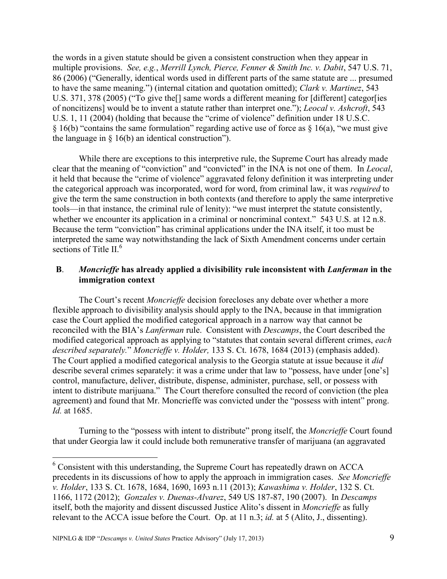the words in a given statute should be given a consistent construction when they appear in multiple provisions. *See, e.g.*, *Merrill Lynch, Pierce, Fenner & Smith Inc. v. Dabit*, 547 U.S. 71, 86 (2006) ("Generally, identical words used in different parts of the same statute are ... presumed to have the same meaning.‖) (internal citation and quotation omitted); *Clark v. Martinez*, 543 U.S. 371, 378 (2005) ("To give the [] same words a different meaning for [different] categor [ies of noncitizens] would be to invent a statute rather than interpret one."); *Leocal v. Ashcroft*, 543 U.S. 1, 11 (2004) (holding that because the "crime of violence" definition under 18 U.S.C. § 16(b) "contains the same formulation" regarding active use of force as § 16(a), "we must give the language in  $\S$  16(b) an identical construction".

While there are exceptions to this interpretive rule, the Supreme Court has already made clear that the meaning of "conviction" and "convicted" in the INA is not one of them. In *Leocal*, it held that because the "crime of violence" aggravated felony definition it was interpreting under the categorical approach was incorporated, word for word, from criminal law, it was *required* to give the term the same construction in both contexts (and therefore to apply the same interpretive tools—in that instance, the criminal rule of lenity): "we must interpret the statute consistently, whether we encounter its application in a criminal or noncriminal context." 543 U.S. at 12 n.8. Because the term "conviction" has criminal applications under the INA itself, it too must be interpreted the same way notwithstanding the lack of Sixth Amendment concerns under certain sections of Title II.<sup>6</sup>

#### **B**. *Moncrieffe* **has already applied a divisibility rule inconsistent with** *Lanferman* **in the immigration context**

The Court's recent *Moncrieffe* decision forecloses any debate over whether a more flexible approach to divisibility analysis should apply to the INA, because in that immigration case the Court applied the modified categorical approach in a narrow way that cannot be reconciled with the BIA's *Lanferman* rule. Consistent with *Descamps*, the Court described the modified categorical approach as applying to "statutes that contain several different crimes, *each described separately.*‖ *Moncrieffe v. Holder,* 133 S. Ct. 1678, 1684 (2013) (emphasis added). The Court applied a modified categorical analysis to the Georgia statute at issue because it *did* describe several crimes separately: it was a crime under that law to "possess, have under [one's] control, manufacture, deliver, distribute, dispense, administer, purchase, sell, or possess with intent to distribute marijuana." The Court therefore consulted the record of conviction (the plea agreement) and found that Mr. Moncrieffe was convicted under the "possess with intent" prong. *Id.* at 1685.

Turning to the "possess with intent to distribute" prong itself, the *Moncrieffe* Court found that under Georgia law it could include both remunerative transfer of marijuana (an aggravated

<sup>6</sup> Consistent with this understanding, the Supreme Court has repeatedly drawn on ACCA precedents in its discussions of how to apply the approach in immigration cases. *See Moncrieffe v. Holder*, 133 S. Ct. 1678, 1684, 1690, 1693 n.11 (2013); *Kawashima v. Holder*, 132 S. Ct. 1166, 1172 (2012); *Gonzales v. Duenas-Alvarez*, 549 US 187-87, 190 (2007). In *Descamps*  itself, both the majority and dissent discussed Justice Alito's dissent in *Moncrieffe* as fully relevant to the ACCA issue before the Court. Op. at 11 n.3; *id.* at 5 (Alito, J., dissenting).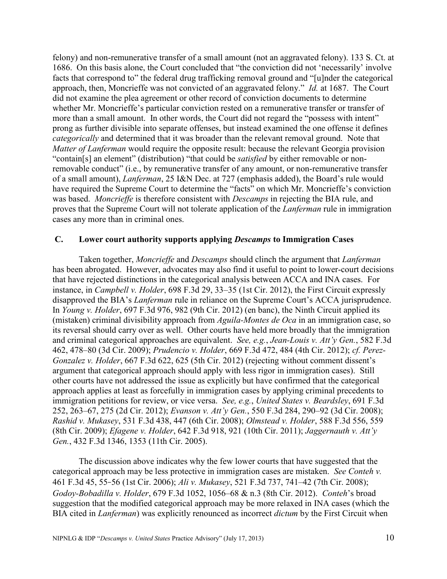felony) and non-remunerative transfer of a small amount (not an aggravated felony). 133 S. Ct. at 1686. On this basis alone, the Court concluded that "the conviction did not 'necessarily' involve facts that correspond to" the federal drug trafficking removal ground and "[u]nder the categorical approach, then, Moncrieffe was not convicted of an aggravated felony." *Id.* at 1687. The Court did not examine the plea agreement or other record of conviction documents to determine whether Mr. Moncrieffe's particular conviction rested on a remunerative transfer or transfer of more than a small amount. In other words, the Court did not regard the "possess with intent" prong as further divisible into separate offenses, but instead examined the one offense it defines *categorically* and determined that it was broader than the relevant removal ground. Note that *Matter of Lanferman* would require the opposite result: because the relevant Georgia provision "contain[s] an element" (distribution) "that could be *satisfied* by either removable or nonremovable conduct" (i.e., by remunerative transfer of any amount, or non-remunerative transfer of a small amount), *Lanferman*, 25 I&N Dec. at 727 (emphasis added), the Board's rule would have required the Supreme Court to determine the "facts" on which Mr. Moncrieffe's conviction was based. *Moncrieffe* is therefore consistent with *Descamps* in rejecting the BIA rule, and proves that the Supreme Court will not tolerate application of the *Lanferman* rule in immigration cases any more than in criminal ones.

#### **C. Lower court authority supports applying** *Descamps* **to Immigration Cases**

Taken together, *Moncrieffe* and *Descamps* should clinch the argument that *Lanferman* has been abrogated. However, advocates may also find it useful to point to lower-court decisions that have rejected distinctions in the categorical analysis between ACCA and INA cases. For instance, in *Campbell v. Holder*, 698 F.3d 29, 33–35 (1st Cir. 2012), the First Circuit expressly disapproved the BIA's *Lanferman* rule in reliance on the Supreme Court's ACCA jurisprudence. In *Young v. Holder*, 697 F.3d 976, 982 (9th Cir. 2012) (en banc), the Ninth Circuit applied its (mistaken) criminal divisibility approach from *Aguila-Montes de Oca* in an immigration case, so its reversal should carry over as well. Other courts have held more broadly that the immigration and criminal categorical approaches are equivalent. *See, e.g.*, *Jean-Louis v. Att'y Gen.*, 582 F.3d 462, 478–80 (3d Cir. 2009); *Prudencio v. Holder*, 669 F.3d 472, 484 (4th Cir. 2012); *cf. Perez-Gonzalez v. Holder*, 667 F.3d 622, 625 (5th Cir. 2012) (rejecting without comment dissent's argument that categorical approach should apply with less rigor in immigration cases). Still other courts have not addressed the issue as explicitly but have confirmed that the categorical approach applies at least as forcefully in immigration cases by applying criminal precedents to immigration petitions for review, or vice versa. *See, e.g.*, *United States v. Beardsley*, 691 F.3d 252, 263–67, 275 (2d Cir. 2012); *Evanson v. Att'y Gen.*, 550 F.3d 284, 290–92 (3d Cir. 2008); *Rashid v. Mukasey*, 531 F.3d 438, 447 (6th Cir. 2008); *Olmstead v. Holder*, 588 F.3d 556, 559 (8th Cir. 2009); *Efagene v. Holder*, 642 F.3d 918, 921 (10th Cir. 2011); *Jaggernauth v. Att'y Gen.*, 432 F.3d 1346, 1353 (11th Cir. 2005).

The discussion above indicates why the few lower courts that have suggested that the categorical approach may be less protective in immigration cases are mistaken. *See Conteh v.*  461 F.3d 45, 55 56 (1st Cir. 2006); *Ali v. Mukasey*, 521 F.3d 737, 741–42 (7th Cir. 2008); *Godoy-Bobadilla v. Holder*, 679 F.3d 1052, 1056–68 & n.3 (8th Cir. 2012). *Conteh*'s broad suggestion that the modified categorical approach may be more relaxed in INA cases (which the BIA cited in *Lanferman*) was explicitly renounced as incorrect *dictum* by the First Circuit when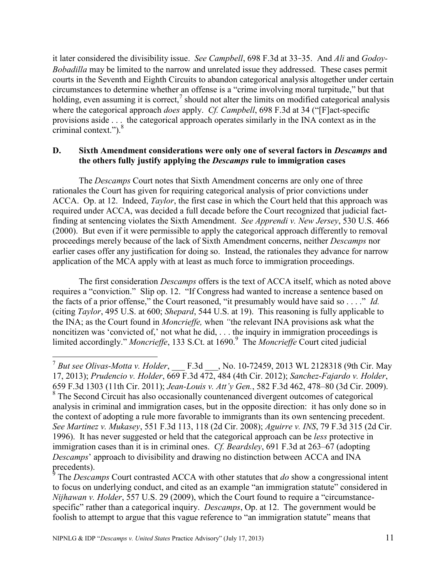it later considered the divisibility issue. *See Campbell*, 698 F.3d at 33-35. And *Ali* and *Godoy*-*Bobadilla* may be limited to the narrow and unrelated issue they addressed. These cases permit courts in the Seventh and Eighth Circuits to abandon categorical analysis altogether under certain circumstances to determine whether an offense is a "crime involving moral turpitude," but that holding, even assuming it is correct,<sup>7</sup> should not alter the limits on modified categorical analysis where the categorical approach *does* apply. *Cf. Campbell*, 698 F.3d at 34 ("[F]act-specific provisions aside . . . the categorical approach operates similarly in the INA context as in the criminal context." $).$ <sup>8</sup>

#### **D. Sixth Amendment considerations were only one of several factors in** *Descamps* **and the others fully justify applying the** *Descamps* **rule to immigration cases**

The *Descamps* Court notes that Sixth Amendment concerns are only one of three rationales the Court has given for requiring categorical analysis of prior convictions under ACCA. Op. at 12. Indeed, *Taylor*, the first case in which the Court held that this approach was required under ACCA, was decided a full decade before the Court recognized that judicial factfinding at sentencing violates the Sixth Amendment. *See Apprendi v. New Jersey*, 530 U.S. 466 (2000). But even if it were permissible to apply the categorical approach differently to removal proceedings merely because of the lack of Sixth Amendment concerns, neither *Descamps* nor earlier cases offer any justification for doing so. Instead, the rationales they advance for narrow application of the MCA apply with at least as much force to immigration proceedings.

The first consideration *Descamps* offers is the text of ACCA itself, which as noted above requires a "conviction." Slip op. 12. "If Congress had wanted to increase a sentence based on the facts of a prior offense," the Court reasoned, "it presumably would have said so . . .." *Id.* (citing *Taylor*, 495 U.S. at 600; *Shepard*, 544 U.S. at 19). This reasoning is fully applicable to the INA; as the Court found in *Moncrieffe,* when *"*the relevant INA provisions ask what the noncitizen was 'convicted of,' not what he did,  $\ldots$  the inquiry in immigration proceedings is limited accordingly." Moncrieffe, 133 S.Ct. at 1690.<sup>9</sup> The *Moncrieffe* Court cited judicial

 7 *But see Olivas-Motta v. Holder*, \_\_\_ F.3d \_\_\_, No. 10-72459, 2013 WL 2128318 (9th Cir. May 17, 2013); *Prudencio v. Holder*, 669 F.3d 472, 484 (4th Cir. 2012); *Sanchez-Fajardo v. Holder*, 659 F.3d 1303 (11th Cir. 2011); *Jean-Louis v. Att'y Gen.*, 582 F.3d 462, 478–80 (3d Cir. 2009). <sup>8</sup> The Second Circuit has also occasionally countenanced divergent outcomes of categorical analysis in criminal and immigration cases, but in the opposite direction: it has only done so in the context of adopting a rule more favorable to immigrants than its own sentencing precedent. *See Martinez v. Mukasey*, 551 F.3d 113, 118 (2d Cir. 2008); *Aguirre v. INS*, 79 F.3d 315 (2d Cir. 1996). It has never suggested or held that the categorical approach can be *less* protective in immigration cases than it is in criminal ones. *Cf. Beardsley*, 691 F.3d at 263–67 (adopting *Descamps*' approach to divisibility and drawing no distinction between ACCA and INA precedents).<br><sup>9</sup> The Desea

The *Descamps* Court contrasted ACCA with other statutes that *do* show a congressional intent to focus on underlying conduct, and cited as an example "an immigration statute" considered in *Nijhawan v. Holder*, 557 U.S. 29 (2009), which the Court found to require a "circumstancespecific" rather than a categorical inquiry. *Descamps*, Op. at 12. The government would be foolish to attempt to argue that this vague reference to "an immigration statute" means that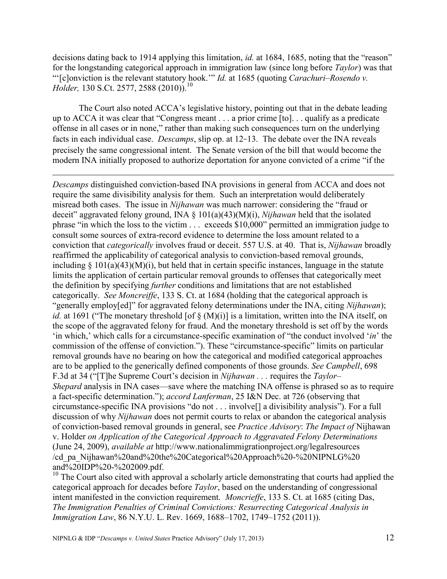decisions dating back to 1914 applying this limitation, *id.* at 1684, 1685, noting that the "reason" for the longstanding categorical approach in immigration law (since long before *Taylor*) was that ―‗[c]onviction is the relevant statutory hook.'‖ *Id.* at 1685 (quoting *Carachuri–Rosendo v. Holder,* 130 S.Ct. 2577, 2588 (2010)).<sup>10</sup>

The Court also noted ACCA's legislative history, pointing out that in the debate leading up to ACCA it was clear that "Congress meant  $\ldots$  a prior crime  $[t_0]$ .  $\ldots$  qualify as a predicate offense in all cases or in none," rather than making such consequences turn on the underlying facts in each individual case. *Descamps*, slip op. at 12-13. The debate over the INA reveals precisely the same congressional intent. The Senate version of the bill that would become the modern INA initially proposed to authorize deportation for anyone convicted of a crime "if the

 $\overline{a}$ 

*Descamps* distinguished conviction-based INA provisions in general from ACCA and does not require the same divisibility analysis for them. Such an interpretation would deliberately misread both cases. The issue in *Nijhawan* was much narrower: considering the "fraud or deceit" aggravated felony ground, INA § 101(a)(43)(M)(i), *Nijhawan* held that the isolated phrase "in which the loss to the victim  $\ldots$  exceeds \$10,000" permitted an immigration judge to consult some sources of extra-record evidence to determine the loss amount related to a conviction that *categorically* involves fraud or deceit. 557 U.S. at 40. That is, *Nijhawan* broadly reaffirmed the applicability of categorical analysis to conviction-based removal grounds, including  $\S$  101(a)(43)(M)(i), but held that in certain specific instances, language in the statute limits the application of certain particular removal grounds to offenses that categorically meet the definition by specifying *further* conditions and limitations that are not established categorically. *See Moncreiffe*, 133 S. Ct. at 1684 (holding that the categorical approach is ―generally employ[ed]‖ for aggravated felony determinations under the INA, citing *Nijhawan*); *id.* at 1691 ("The monetary threshold [of  $\S$  (M)(i)] is a limitation, written into the INA itself, on the scope of the aggravated felony for fraud. And the monetary threshold is set off by the words 'in which,' which calls for a circumstance-specific examination of "the conduct involved '*in*' the commission of the offense of conviction."). These "circumstance-specific" limits on particular removal grounds have no bearing on how the categorical and modified categorical approaches are to be applied to the generically defined components of those grounds. *See Campbell*, 698 F.3d at 34 (―[T]he Supreme Court's decision in *Nijhawan . . .* requires the *Taylor– Shepard* analysis in INA cases—save where the matching INA offense is phrased so as to require a fact-specific determination.‖); *accord Lanferman*, 25 I&N Dec. at 726 (observing that circumstance-specific INA provisions "do not  $\ldots$  involve<sup>[]</sup> a divisibility analysis"). For a full discussion of why *Nijhawan* does not permit courts to relax or abandon the categorical analysis of conviction-based removal grounds in general, see *Practice Advisory*: *The Impact of* Nijhawan v. Holder *on Application of the Categorical Approach to Aggravated Felony Determinations* (June 24, 2009), *available at* http://www.nationalimmigrationproject.org/legalresources /cd\_pa\_Nijhawan%20and%20the%20Categorical%20Approach%20-%20NIPNLG%20 and%20IDP%20-%202009.pdf.

<sup>10</sup> The Court also cited with approval a scholarly article demonstrating that courts had applied the categorical approach for decades before *Taylor*, based on the understanding of congressional intent manifested in the conviction requirement. *Moncrieffe*, 133 S. Ct. at 1685 (citing Das, *The Immigration Penalties of Criminal Convictions: Resurrecting Categorical Analysis in Immigration Law*, 86 N.Y.U. L. Rev. 1669, 1688–1702, 1749–1752 (2011)).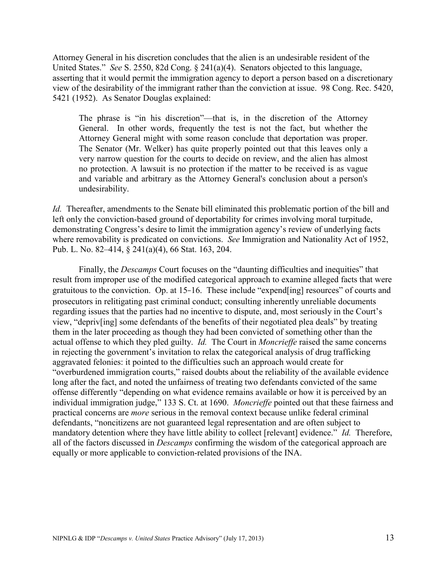Attorney General in his discretion concludes that the alien is an undesirable resident of the United States." *See* S. 2550, 82d Cong. § 241(a)(4). Senators objected to this language, asserting that it would permit the immigration agency to deport a person based on a discretionary view of the desirability of the immigrant rather than the conviction at issue. 98 Cong. Rec. 5420, 5421 (1952). As Senator Douglas explained:

The phrase is "in his discretion"—that is, in the discretion of the Attorney General. In other words, frequently the test is not the fact, but whether the Attorney General might with some reason conclude that deportation was proper. The Senator (Mr. Welker) has quite properly pointed out that this leaves only a very narrow question for the courts to decide on review, and the alien has almost no protection. A lawsuit is no protection if the matter to be received is as vague and variable and arbitrary as the Attorney General's conclusion about a person's undesirability.

*Id.* Thereafter, amendments to the Senate bill eliminated this problematic portion of the bill and left only the conviction-based ground of deportability for crimes involving moral turpitude, demonstrating Congress's desire to limit the immigration agency's review of underlying facts where removability is predicated on convictions. *See* Immigration and Nationality Act of 1952, Pub. L. No. 82–414, § 241(a)(4), 66 Stat. 163, 204.

Finally, the *Descamps* Court focuses on the "daunting difficulties and inequities" that result from improper use of the modified categorical approach to examine alleged facts that were gratuitous to the conviction. Op. at  $15\n-16$ . These include "expend[ing] resources" of courts and prosecutors in relitigating past criminal conduct; consulting inherently unreliable documents regarding issues that the parties had no incentive to dispute, and, most seriously in the Court's view, "depriv[ing] some defendants of the benefits of their negotiated plea deals" by treating them in the later proceeding as though they had been convicted of something other than the actual offense to which they pled guilty. *Id.* The Court in *Moncrieffe* raised the same concerns in rejecting the government's invitation to relax the categorical analysis of drug trafficking aggravated felonies: it pointed to the difficulties such an approach would create for "overburdened immigration courts," raised doubts about the reliability of the available evidence long after the fact, and noted the unfairness of treating two defendants convicted of the same offense differently "depending on what evidence remains available or how it is perceived by an individual immigration judge," 133 S. Ct. at 1690. *Moncrieffe* pointed out that these fairness and practical concerns are *more* serious in the removal context because unlike federal criminal defendants, "noncitizens are not guaranteed legal representation and are often subject to mandatory detention where they have little ability to collect [relevant] evidence.<sup>"</sup> *Id.* Therefore, all of the factors discussed in *Descamps* confirming the wisdom of the categorical approach are equally or more applicable to conviction-related provisions of the INA.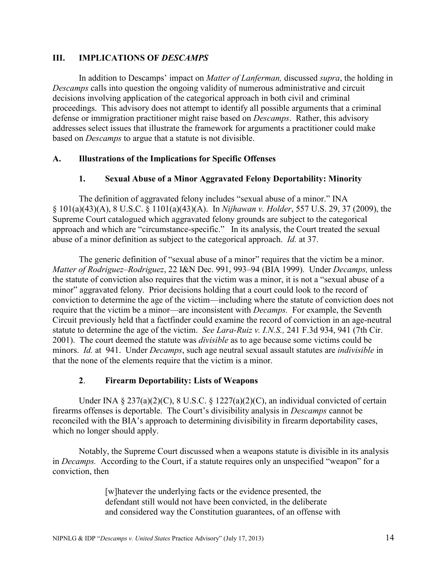#### **III. IMPLICATIONS OF** *DESCAMPS*

In addition to Descamps' impact on *Matter of Lanferman,* discussed *supra*, the holding in *Descamps* calls into question the ongoing validity of numerous administrative and circuit decisions involving application of the categorical approach in both civil and criminal proceedings. This advisory does not attempt to identify all possible arguments that a criminal defense or immigration practitioner might raise based on *Descamps*. Rather, this advisory addresses select issues that illustrate the framework for arguments a practitioner could make based on *Descamps* to argue that a statute is not divisible.

#### **A. Illustrations of the Implications for Specific Offenses**

#### **1. Sexual Abuse of a Minor Aggravated Felony Deportability: Minority**

The definition of aggravated felony includes "sexual abuse of a minor." INA § 101(a)(43)(A), 8 U.S.C. § 1101(a)(43)(A). In *Nijhawan v. Holder*, 557 U.S. 29, 37 (2009), the Supreme Court catalogued which aggravated felony grounds are subject to the categorical approach and which are "circumstance-specific." In its analysis, the Court treated the sexual abuse of a minor definition as subject to the categorical approach. *Id.* at 37.

The generic definition of "sexual abuse of a minor" requires that the victim be a minor. *Matter of Rodriguez–Rodriguez*, 22 I&N Dec. 991, 993–94 (BIA 1999). Under *Decamps,* unless the statute of conviction also requires that the victim was a minor, it is not a "sexual abuse of a minor" aggravated felony. Prior decisions holding that a court could look to the record of conviction to determine the age of the victim—including where the statute of conviction does not require that the victim be a minor—are inconsistent with *Decamps.* For example, the Seventh Circuit previously held that a factfinder could examine the record of conviction in an age-neutral statute to determine the age of the victim. *See Lara-Ruiz v. I.N.S.,* 241 F.3d 934, 941 (7th Cir. 2001). The court deemed the statute was *divisible* as to age because some victims could be minors. *Id.* at 941. Under *Decamps*, such age neutral sexual assault statutes are *indivisible* in that the none of the elements require that the victim is a minor.

#### **2**. **Firearm Deportability: Lists of Weapons**

Under INA  $\S 237(a)(2)(C)$ ,  $\S U.S.C. \S 1227(a)(2)(C)$ , an individual convicted of certain firearms offenses is deportable. The Court's divisibility analysis in *Descamps* cannot be reconciled with the BIA's approach to determining divisibility in firearm deportability cases, which no longer should apply.

Notably, the Supreme Court discussed when a weapons statute is divisible in its analysis in *Decamps*. According to the Court, if a statute requires only an unspecified "weapon" for a conviction, then

> [w]hatever the underlying facts or the evidence presented, the defendant still would not have been convicted, in the deliberate and considered way the Constitution guarantees, of an offense with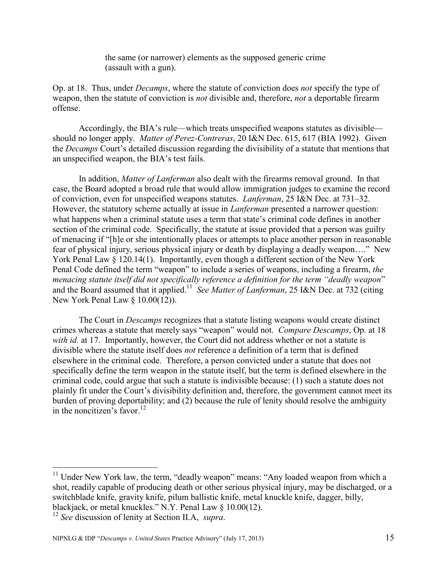the same (or narrower) elements as the supposed generic crime (assault with a gun).

Op. at 18. Thus, under *Decamps*, where the statute of conviction does *not* specify the type of weapon, then the statute of conviction is *not* divisible and, therefore, *not* a deportable firearm offense.

Accordingly, the BIA's rule—which treats unspecified weapons statutes as divisible should no longer apply. *Matter of Perez-Contreras*, 20 I&N Dec. 615, 617 (BIA 1992). Given the *Decamps* Court's detailed discussion regarding the divisibility of a statute that mentions that an unspecified weapon, the BIA's test fails.

In addition, *Matter of Lanferman* also dealt with the firearms removal ground. In that case, the Board adopted a broad rule that would allow immigration judges to examine the record of conviction, even for unspecified weapons statutes. *Lanferman*, 25 I&N Dec. at 731–32. However, the statutory scheme actually at issue in *Lanferman* presented a narrower question: what happens when a criminal statute uses a term that state's criminal code defines in another section of the criminal code. Specifically, the statute at issue provided that a person was guilty of menacing if "[h]e or she intentionally places or attempts to place another person in reasonable fear of physical injury, serious physical injury or death by displaying a deadly weapon...." New York Penal Law § 120.14(1). Importantly, even though a different section of the New York Penal Code defined the term "weapon" to include a series of weapons, including a firearm, *the menacing statute itself did not specifically reference a definition for the term "deadly weapon"* and the Board assumed that it applied.<sup>11</sup> See Matter of Lanferman, 25 I&N Dec. at 732 (citing New York Penal Law § 10.00(12)).

The Court in *Descamps* recognizes that a statute listing weapons would create distinct crimes whereas a statute that merely says "weapon" would not. *Compare Descamps*, Op. at 18 *with id.* at 17. Importantly, however, the Court did not address whether or not a statute is divisible where the statute itself does *not* reference a definition of a term that is defined elsewhere in the criminal code. Therefore, a person convicted under a statute that does not specifically define the term weapon in the statute itself, but the term is defined elsewhere in the criminal code, could argue that such a statute is indivisible because: (1) such a statute does not plainly fit under the Court's divisibility definition and, therefore, the government cannot meet its burden of proving deportability; and (2) because the rule of lenity should resolve the ambiguity in the noncitizen's favor.<sup>12</sup>

 $11$  Under New York law, the term, "deadly weapon" means: "Any loaded weapon from which a shot, readily capable of producing death or other serious physical injury, may be discharged, or a switchblade knife, gravity knife, pilum ballistic knife, metal knuckle knife, dagger, billy, blackjack, or metal knuckles." N.Y. Penal Law  $\S$  10.00(12).

<sup>12</sup> *See* discussion of lenity at Section II.A, *supra*.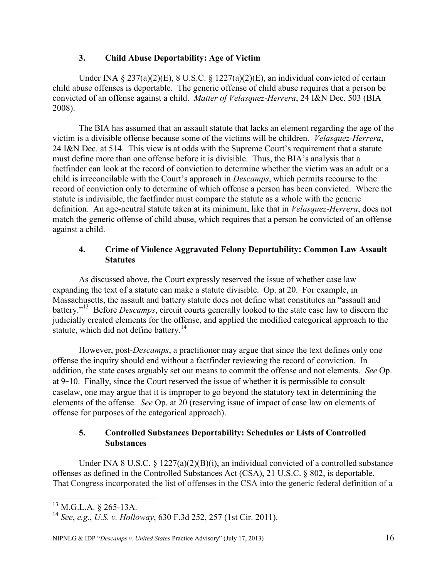## **3. Child Abuse Deportability: Age of Victim**

Under INA §  $237(a)(2)(E)$ , 8 U.S.C. § 1227(a)(2)(E), an individual convicted of certain child abuse offenses is deportable. The generic offense of child abuse requires that a person be convicted of an offense against a child. *Matter of Velasquez-Herrera*, 24 I&N Dec. 503 (BIA 2008).

The BIA has assumed that an assault statute that lacks an element regarding the age of the victim is a divisible offense because some of the victims will be children. *Velasquez-Herrera*, 24 I&N Dec. at 514. This view is at odds with the Supreme Court's requirement that a statute must define more than one offense before it is divisible. Thus, the BIA's analysis that a factfinder can look at the record of conviction to determine whether the victim was an adult or a child is irreconcilable with the Court's approach in *Descamps*, which permits recourse to the record of conviction only to determine of which offense a person has been convicted. Where the statute is indivisible, the factfinder must compare the statute as a whole with the generic definition. An age-neutral statute taken at its minimum, like that in *Velasquez-Herrera*, does not match the generic offense of child abuse, which requires that a person be convicted of an offense against a child.

## **4. Crime of Violence Aggravated Felony Deportability: Common Law Assault Statutes**

As discussed above, the Court expressly reserved the issue of whether case law expanding the text of a statute can make a statute divisible. Op. at 20. For example, in Massachusetts, the assault and battery statute does not define what constitutes an "assault and battery."<sup>13</sup> Before *Descamps*, circuit courts generally looked to the state case law to discern the judicially created elements for the offense, and applied the modified categorical approach to the statute, which did not define battery.<sup>14</sup>

However, post-*Descamps*, a practitioner may argue that since the text defines only one offense the inquiry should end without a factfinder reviewing the record of conviction. In addition, the state cases arguably set out means to commit the offense and not elements. *See* Op. at 9-10. Finally, since the Court reserved the issue of whether it is permissible to consult caselaw, one may argue that it is improper to go beyond the statutory text in determining the elements of the offense. *See* Op. at 20 (reserving issue of impact of case law on elements of offense for purposes of the categorical approach).

## **5. Controlled Substances Deportability: Schedules or Lists of Controlled Substances**

Under INA 8 U.S.C. § 1227(a)(2)(B)(i), an individual convicted of a controlled substance offenses as defined in the Controlled Substances Act (CSA), 21 U.S.C. § 802, is deportable. That Congress incorporated the list of offenses in the CSA into the generic federal definition of a

 $^{13}$  M.G.L.A. § 265-13A.

<sup>14</sup> *See*, *e.g.*, *U.S. v. Holloway*, 630 F.3d 252, 257 (1st Cir. 2011).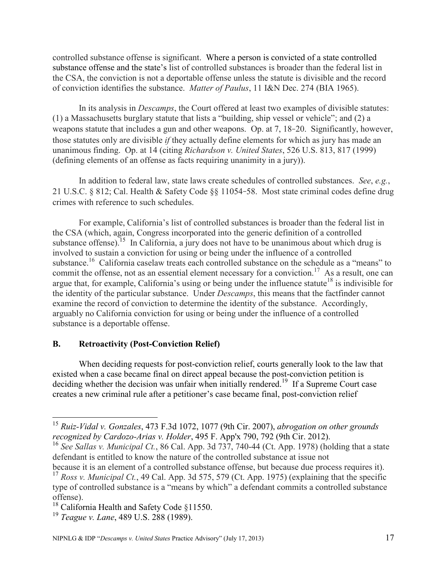controlled substance offense is significant. Where a person is convicted of a state controlled substance offense and the state's list of controlled substances is broader than the federal list in the CSA, the conviction is not a deportable offense unless the statute is divisible and the record of conviction identifies the substance. *Matter of Paulus*, 11 I&N Dec. 274 (BIA 1965).

In its analysis in *Descamps*, the Court offered at least two examples of divisible statutes: (1) a Massachusetts burglary statute that lists a "building, ship vessel or vehicle"; and  $(2)$  a weapons statute that includes a gun and other weapons. Op. at 7, 18-20. Significantly, however, those statutes only are divisible *if* they actually define elements for which as jury has made an unanimous finding. Op. at 14 (citing *Richardson v. United States*, 526 U.S. 813, 817 (1999) (defining elements of an offense as facts requiring unanimity in a jury)).

In addition to federal law, state laws create schedules of controlled substances. *See*, *e.g.*, 21 U.S.C. § 812; Cal. Health & Safety Code §§ 11054 58. Most state criminal codes define drug crimes with reference to such schedules.

For example, California's list of controlled substances is broader than the federal list in the CSA (which, again, Congress incorporated into the generic definition of a controlled substance offense). Is In California, a jury does not have to be unanimous about which drug is involved to sustain a conviction for using or being under the influence of a controlled substance.<sup>16</sup> California caselaw treats each controlled substance on the schedule as a "means" to commit the offense, not as an essential element necessary for a conviction.<sup>17</sup> As a result, one can argue that, for example, California's using or being under the influence statute<sup>18</sup> is indivisible for the identity of the particular substance. Under *Descamps*, this means that the factfinder cannot examine the record of conviction to determine the identity of the substance. Accordingly, arguably no California conviction for using or being under the influence of a controlled substance is a deportable offense.

## **B. Retroactivity (Post-Conviction Relief)**

When deciding requests for post-conviction relief, courts generally look to the law that existed when a case became final on direct appeal because the post-conviction petition is deciding whether the decision was unfair when initially rendered.<sup>19</sup> If a Supreme Court case creates a new criminal rule after a petitioner's case became final, post-conviction relief

<sup>15</sup> *Ruiz-Vidal v. Gonzales*, 473 F.3d 1072, 1077 (9th Cir. 2007), *abrogation on other grounds recognized by Cardozo-Arias v. Holder*, 495 F. App'x 790, 792 (9th Cir. 2012).

<sup>16</sup> *See Sallas v. Municipal Ct.*, 86 Cal. App. 3d 737, 740-44 (Ct. App. 1978) (holding that a state defendant is entitled to know the nature of the controlled substance at issue not

because it is an element of a controlled substance offense, but because due process requires it). <sup>17</sup> *Ross v. Municipal Ct.*, 49 Cal. App. 3d 575, 579 (Ct. App. 1975) (explaining that the specific type of controlled substance is a "means by which" a defendant commits a controlled substance offense).

<sup>&</sup>lt;sup>18</sup> California Health and Safety Code §11550.

<sup>19</sup> *Teague v. Lane*, 489 U.S. 288 (1989).